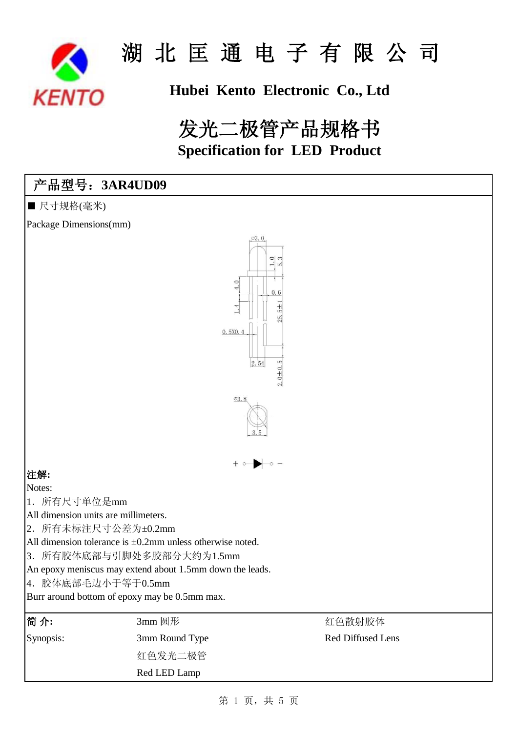

## **Hubei Kento Electronic Co., Ltd**

## **Specification for LED Product** 发光二极管产品规格书

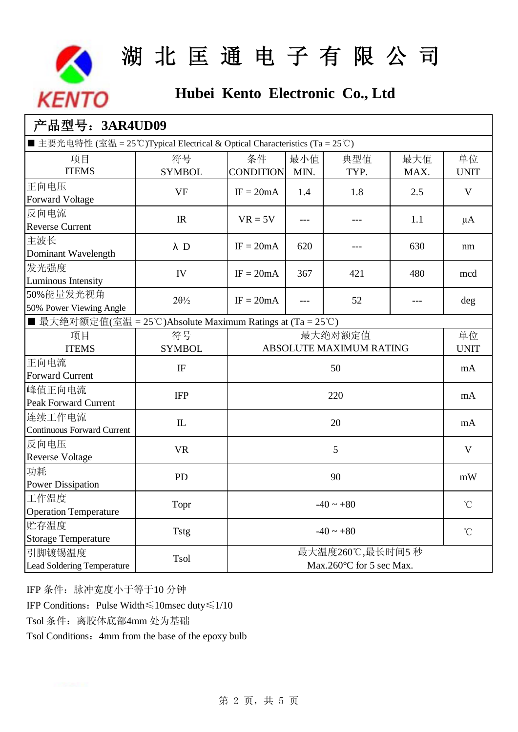

## **Hubei Kento Electronic Co., Ltd**

| 产品型号: 3AR4UD09                                                               |                                                           |                                    |      |      |                 |             |  |  |
|------------------------------------------------------------------------------|-----------------------------------------------------------|------------------------------------|------|------|-----------------|-------------|--|--|
| ■ 主要光电特性 (室温 = 25°C)Typical Electrical & Optical Characteristics (Ta = 25°C) |                                                           |                                    |      |      |                 |             |  |  |
| 项目                                                                           | 符号                                                        | 条件                                 | 最小值  | 典型值  | 最大值             | 单位          |  |  |
| <b>ITEMS</b>                                                                 | <b>SYMBOL</b>                                             | <b>CONDITION</b>                   | MIN. | TYP. | MAX.            | <b>UNIT</b> |  |  |
| 正向电压                                                                         | <b>VF</b>                                                 | $IF = 20mA$                        | 1.4  | 1.8  | 2.5             | V           |  |  |
| <b>Forward Voltage</b>                                                       |                                                           |                                    |      |      |                 |             |  |  |
| 反向电流                                                                         | IR                                                        | $VR = 5V$                          | ---  |      | 1.1             | $\mu A$     |  |  |
| <b>Reverse Current</b>                                                       |                                                           |                                    |      |      |                 |             |  |  |
| 主波长                                                                          | $\lambda$ D                                               | $IF = 20mA$                        | 620  |      | 630             | nm          |  |  |
| Dominant Wavelength                                                          |                                                           |                                    |      |      |                 |             |  |  |
| 发光强度                                                                         | IV                                                        | $IF = 20mA$                        | 367  | 421  | 480             | mcd         |  |  |
| <b>Luminous Intensity</b>                                                    |                                                           |                                    |      |      |                 |             |  |  |
| 50%能量发光视角                                                                    | $2\theta\frac{1}{2}$                                      | $IF = 20mA$                        |      | 52   | ---             | deg         |  |  |
| 50% Power Viewing Angle                                                      |                                                           |                                    |      |      |                 |             |  |  |
|                                                                              | ■ 最大绝对额定值(室温 = 25℃)Absolute Maximum Ratings at (Ta = 25℃) |                                    |      |      |                 |             |  |  |
| 项目<br><b>ITEMS</b>                                                           | 符号                                                        | 最大绝对额定值<br>ABSOLUTE MAXIMUM RATING |      |      | 单位              |             |  |  |
|                                                                              | <b>SYMBOL</b>                                             |                                    |      |      | <b>UNIT</b>     |             |  |  |
| 正向电流<br><b>Forward Current</b>                                               | IF                                                        | 50                                 |      |      |                 | mA          |  |  |
| 峰值正向电流                                                                       |                                                           |                                    |      |      |                 |             |  |  |
| <b>Peak Forward Current</b>                                                  | <b>IFP</b>                                                | 220                                |      |      |                 | mA          |  |  |
| 连续工作电流                                                                       |                                                           |                                    |      |      |                 |             |  |  |
| <b>Continuous Forward Current</b>                                            | $\mathbb{L}$<br>20                                        |                                    |      | mA   |                 |             |  |  |
| 反向电压                                                                         |                                                           |                                    |      |      | V               |             |  |  |
| <b>Reverse Voltage</b>                                                       | <b>VR</b>                                                 | 5                                  |      |      |                 |             |  |  |
| 功耗                                                                           |                                                           |                                    |      |      | mW              |             |  |  |
| <b>Power Dissipation</b>                                                     | PD                                                        | 90                                 |      |      |                 |             |  |  |
| 工作温度                                                                         |                                                           | $-40 \sim +80$                     |      |      | $^{\circ}$ C    |             |  |  |
| <b>Operation Temperature</b>                                                 | Topr                                                      |                                    |      |      |                 |             |  |  |
| 贮存温度                                                                         | <b>Tstg</b>                                               | $-40 \sim +80$                     |      |      | $\rm ^{\circ}C$ |             |  |  |
| <b>Storage Temperature</b>                                                   |                                                           |                                    |      |      |                 |             |  |  |
| 引脚镀锡温度                                                                       | 最大温度260℃,最长时间5秒<br>Tsol                                   |                                    |      |      |                 |             |  |  |
| <b>Lead Soldering Temperature</b>                                            |                                                           | Max.260 °C for 5 sec Max.          |      |      |                 |             |  |  |

IFP 条件:脉冲宽度小于等于10 分钟

IFP Conditions:Pulse Width≤10msec duty≤1/10

Tsol 条件: 离胶体底部4mm 处为基础

Tsol Conditions: 4mm from the base of the epoxy bulb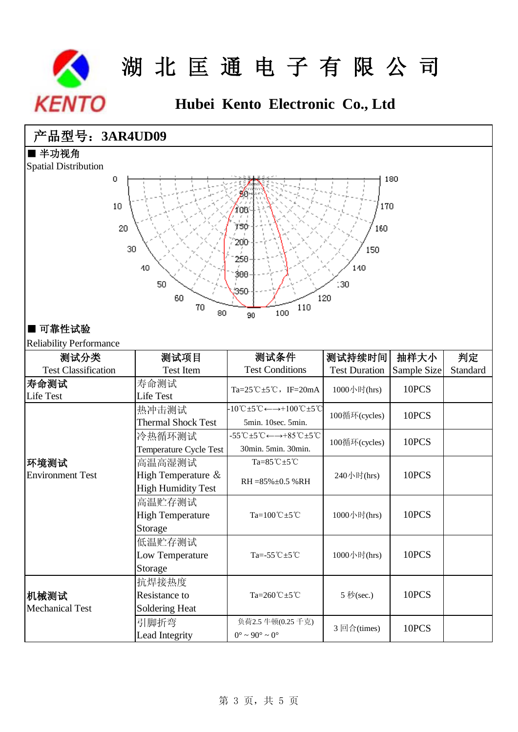

## **Hubei Kento Electronic Co., Ltd**

### 产品型号:**3AR4UD09**

■ 半功视角

Spatial Distribution



#### ■ 可靠性试验

Reliability Performance

| INCHAUMHY I CHUIMHAINC<br>测试分类 | 测试项目                      | 测试条件                                                                                                          | 测试持续时间               | 抽样大小        | 判定       |
|--------------------------------|---------------------------|---------------------------------------------------------------------------------------------------------------|----------------------|-------------|----------|
| <b>Test Classification</b>     | <b>Test Item</b>          | <b>Test Conditions</b>                                                                                        | <b>Test Duration</b> | Sample Size | Standard |
| 寿命测试                           | 寿命测试                      |                                                                                                               |                      | 10PCS       |          |
| Life Test                      | Life Test                 | Ta= $25^{\circ}$ C $\pm$ 5 $^{\circ}$ C, IF=20mA                                                              | 1000小时(hrs)          |             |          |
|                                | 热冲击测试                     | $-10^{\circ}\text{C} \pm 5^{\circ}\text{C} \leftarrow \rightarrow +100^{\circ}\text{C} \pm 5^{\circ}\text{C}$ |                      | 10PCS       |          |
|                                | <b>Thermal Shock Test</b> | 5min. 10sec. 5min.                                                                                            | 100循环(cycles)        |             |          |
|                                | 冷热循环测试                    | $-55^{\circ}C + 5^{\circ}C \leftarrow \rightarrow +85^{\circ}C + 5^{\circ}C$                                  |                      | 10PCS       |          |
|                                | Temperature Cycle Test    | 30min. 5min. 30min.                                                                                           | 100循环(cycles)        |             |          |
| 环境测试                           | 高温高湿测试                    | $Ta=85^{\circ}C \pm 5^{\circ}C$                                                                               |                      | 10PCS       |          |
| <b>Environment Test</b>        | High Temperature &        | RH = 85% ± 0.5 %RH                                                                                            | 240小时(hrs)           |             |          |
|                                | <b>High Humidity Test</b> |                                                                                                               |                      |             |          |
|                                | 高温贮存测试                    |                                                                                                               |                      | 10PCS       |          |
|                                | <b>High Temperature</b>   | Ta= $100^{\circ}$ C $\pm$ 5 $^{\circ}$ C                                                                      | 1000小时(hrs)          |             |          |
|                                | Storage                   |                                                                                                               |                      |             |          |
|                                | 低温贮存测试                    |                                                                                                               |                      | 10PCS       |          |
|                                | Low Temperature           | Ta=-55 $^{\circ}$ C $\pm$ 5 $^{\circ}$ C                                                                      | 1000小时(hrs)          |             |          |
|                                | Storage                   |                                                                                                               |                      |             |          |
|                                | 抗焊接热度                     |                                                                                                               | 5 秒(sec.)            |             |          |
| 机械测试                           | Resistance to             | Ta=260℃ ±5℃                                                                                                   |                      | 10PCS       |          |
| <b>Mechanical Test</b>         | Soldering Heat            |                                                                                                               |                      |             |          |
|                                | 引脚折弯                      | 负荷2.5 牛顿(0.25 千克)                                                                                             |                      | 10PCS       |          |
|                                | Lead Integrity            | $0^{\circ}$ ~ 90 $^{\circ}$ ~ 0 $^{\circ}$                                                                    | 3 回合(times)          |             |          |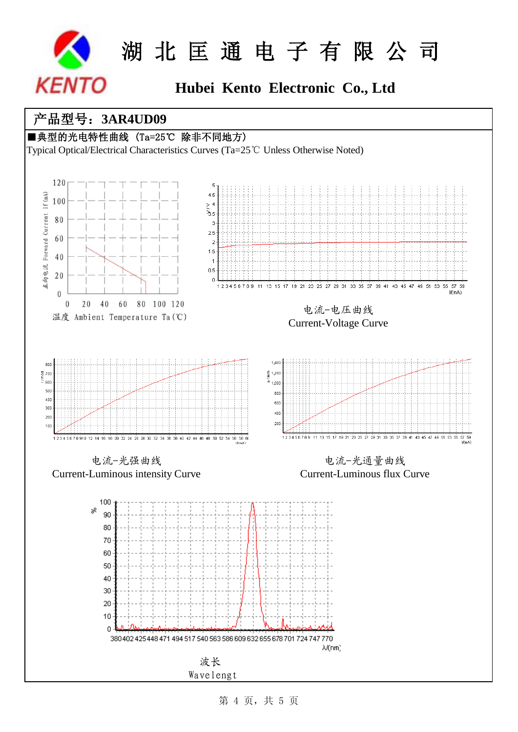

## **Hubei Kento Electronic Co., Ltd**

### 产品型号:**3AR4UD09**

### ■典型的光电特性曲线 (Ta=25℃ 除非不同地方)

Typical Optical/Electrical Characteristics Curves (Ta=25℃ Unless Otherwise Noted)



第 4 页, 共 5 页